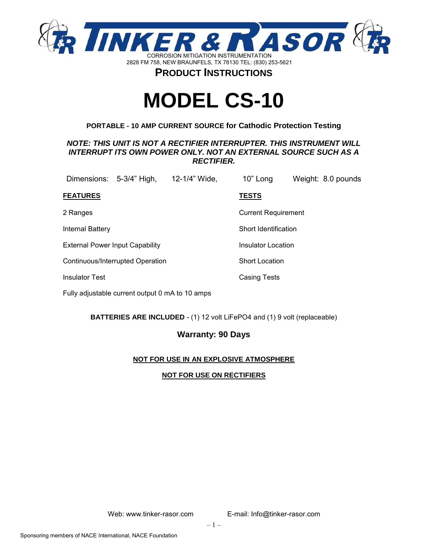

# **MODEL CS-10**

### **PORTABLE - 10 AMP CURRENT SOURCE for Cathodic Protection Testing**

### *NOTE: THIS UNIT IS NOT A RECTIFIER INTERRUPTER. THIS INSTRUMENT WILL INTERRUPT ITS OWN POWER ONLY. NOT AN EXTERNAL SOURCE SUCH AS A RECTIFIER.*

| Dimensions: 5-3/4" High,         |  | 12-1/4" Wide, | 10" Long     |                            |  | Weight: 8.0 pounds |  |
|----------------------------------|--|---------------|--------------|----------------------------|--|--------------------|--|
| <b>FEATURES</b>                  |  |               | <b>TESTS</b> |                            |  |                    |  |
| 2 Ranges                         |  |               |              | <b>Current Requirement</b> |  |                    |  |
| <b>Internal Battery</b>          |  |               |              | Short Identification       |  |                    |  |
| External Power Input Capability  |  |               |              | Insulator Location         |  |                    |  |
| Continuous/Interrupted Operation |  |               |              | <b>Short Location</b>      |  |                    |  |
| <b>Insulator Test</b>            |  |               |              | Casing Tests               |  |                    |  |
|                                  |  |               |              |                            |  |                    |  |

Fully adjustable current output 0 mA to 10 amps

**BATTERIES ARE INCLUDED** - (1) 12 volt LiFePO4 and (1) 9 volt (replaceable)

### **Warranty: 90 Days**

### **NOT FOR USE IN AN EXPLOSIVE ATMOSPHERE**

### **NOT FOR USE ON RECTIFIERS**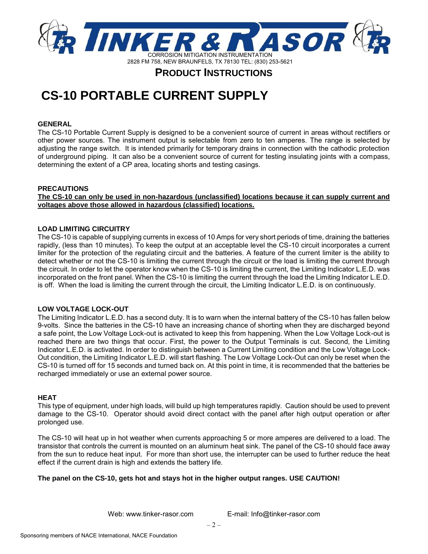

## **CS-10 PORTABLE CURRENT SUPPLY**

### **GENERAL**

The CS-10 Portable Current Supply is designed to be a convenient source of current in areas without rectifiers or other power sources. The instrument output is selectable from zero to ten amperes. The range is selected by adjusting the range switch. It is intended primarily for temporary drains in connection with the cathodic protection of underground piping. It can also be a convenient source of current for testing insulating joints with a compass, determining the extent of a CP area, locating shorts and testing casings.

### **PRECAUTIONS**

**The CS-10 can only be used in non-hazardous (unclassified) locations because it can supply current and voltages above those allowed in hazardous (classified) locations.**

### **LOAD LIMITING CIRCUITRY**

The CS-10 is capable of supplying currents in excess of 10 Amps for very short periods of time, draining the batteries rapidly, (less than 10 minutes). To keep the output at an acceptable level the CS-10 circuit incorporates a current limiter for the protection of the regulating circuit and the batteries. A feature of the current limiter is the ability to detect whether or not the CS-10 is limiting the current through the circuit or the load is limiting the current through the circuit. In order to let the operator know when the CS-10 is limiting the current, the Limiting Indicator L.E.D. was incorporated on the front panel. When the CS-10 is limiting the current through the load the Limiting Indicator L.E.D. is off. When the load is limiting the current through the circuit, the Limiting Indicator L.E.D. is on continuously.

### **LOW VOLTAGE LOCK-OUT**

The Limiting Indicator L.E.D. has a second duty. It is to warn when the internal battery of the CS-10 has fallen below 9-volts. Since the batteries in the CS-10 have an increasing chance of shorting when they are discharged beyond a safe point, the Low Voltage Lock-out is activated to keep this from happening. When the Low Voltage Lock-out is reached there are two things that occur. First, the power to the Output Terminals is cut. Second, the Limiting Indicator L.E.D. is activated. In order to distinguish between a Current Limiting condition and the Low Voltage Lock-Out condition, the Limiting Indicator L.E.D. will start flashing. The Low Voltage Lock-Out can only be reset when the CS-10 is turned off for 15 seconds and turned back on. At this point in time, it is recommended that the batteries be recharged immediately or use an external power source.

### **HEAT**

This type of equipment, under high loads, will build up high temperatures rapidly. Caution should be used to prevent damage to the CS-10. Operator should avoid direct contact with the panel after high output operation or after prolonged use.

The CS-10 will heat up in hot weather when currents approaching 5 or more amperes are delivered to a load. The transistor that controls the current is mounted on an aluminum heat sink. The panel of the CS-10 should face away from the sun to reduce heat input. For more than short use, the interrupter can be used to further reduce the heat effect if the current drain is high and extends the battery life.

### **The panel on the CS-10, gets hot and stays hot in the higher output ranges. USE CAUTION!**

Web: www.tinker-rasor.com E-mail: Info@tinker-rasor.com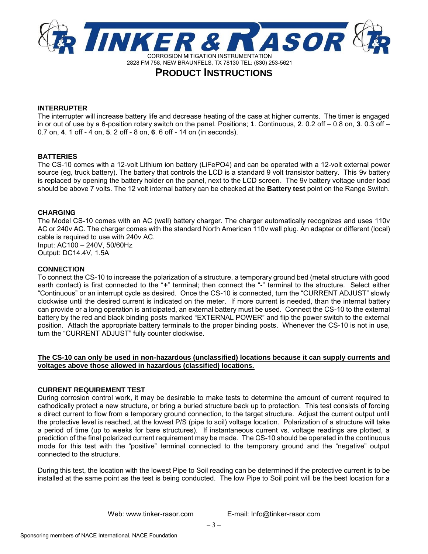

#### **INTERRUPTER**

The interrupter will increase battery life and decrease heating of the case at higher currents. The timer is engaged in or out of use by a 6-position rotary switch on the panel. Positions; **1**. Continuous, **2**. 0.2 off – 0.8 on, **3**. 0.3 off – 0.7 on, **4**. 1 off - 4 on, **5**. 2 off - 8 on, **6**. 6 off - 14 on (in seconds).

### **BATTERIES**

The CS-10 comes with a 12-volt Lithium ion battery (LiFePO4) and can be operated with a 12-volt external power source (eg, truck battery). The battery that controls the LCD is a standard 9 volt transistor battery. This 9v battery is replaced by opening the battery holder on the panel, next to the LCD screen. The 9v battery voltage under load should be above 7 volts. The 12 volt internal battery can be checked at the **Battery test** point on the Range Switch.

### **CHARGING**

The Model CS-10 comes with an AC (wall) battery charger. The charger automatically recognizes and uses 110v AC or 240v AC. The charger comes with the standard North American 110v wall plug. An adapter or different (local) cable is required to use with 240v AC. Input: AC100 – 240V, 50/60Hz Output: DC14.4V, 1.5A

**CONNECTION**

To connect the CS-10 to increase the polarization of a structure, a temporary ground bed (metal structure with good earth contact) is first connected to the "**+**" terminal; then connect the "**-**" terminal to the structure. Select either "Continuous" or an interrupt cycle as desired. Once the CS-10 is connected, turn the "CURRENT ADJUST" slowly clockwise until the desired current is indicated on the meter. If more current is needed, than the internal battery can provide or a long operation is anticipated, an external battery must be used. Connect the CS-10 to the external battery by the red and black binding posts marked "EXTERNAL POWER" and flip the power switch to the external position. Attach the appropriate battery terminals to the proper binding posts. Whenever the CS-10 is not in use, turn the "CURRENT ADJUST" fully counter clockwise.

### **The CS-10 can only be used in non-hazardous (unclassified) locations because it can supply currents and voltages above those allowed in hazardous (classified) locations.**

### **CURRENT REQUIREMENT TEST**

During corrosion control work, it may be desirable to make tests to determine the amount of current required to cathodically protect a new structure, or bring a buried structure back up to protection. This test consists of forcing a direct current to flow from a temporary ground connection, to the target structure. Adjust the current output until the protective level is reached, at the lowest P/S (pipe to soil) voltage location. Polarization of a structure will take a period of time (up to weeks for bare structures). If instantaneous current vs. voltage readings are plotted, a prediction of the final polarized current requirement may be made. The CS-10 should be operated in the continuous mode for this test with the "positive" terminal connected to the temporary ground and the "negative" output connected to the structure.

During this test, the location with the lowest Pipe to Soil reading can be determined if the protective current is to be installed at the same point as the test is being conducted. The low Pipe to Soil point will be the best location for a

Web: www.tinker-rasor.com E-mail: Info@tinker-rasor.com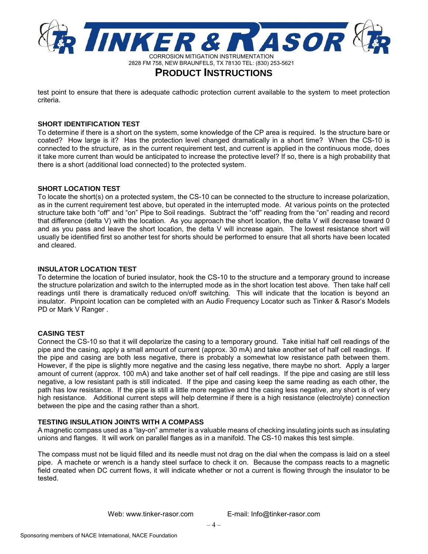

test point to ensure that there is adequate cathodic protection current available to the system to meet protection criteria.

### **SHORT IDENTIFICATION TEST**

To determine if there is a short on the system, some knowledge of the CP area is required. Is the structure bare or coated? How large is it? Has the protection level changed dramatically in a short time? When the CS-10 is connected to the structure, as in the current requirement test, and current is applied in the continuous mode, does it take more current than would be anticipated to increase the protective level? If so, there is a high probability that there is a short (additional load connected) to the protected system.

### **SHORT LOCATION TEST**

To locate the short(s) on a protected system, the CS-10 can be connected to the structure to increase polarization, as in the current requirement test above, but operated in the interrupted mode. At various points on the protected structure take both "off" and "on" Pipe to Soil readings. Subtract the "off" reading from the "on" reading and record that difference (delta V) with the location. As you approach the short location, the delta V will decrease toward 0 and as you pass and leave the short location, the delta V will increase again. The lowest resistance short will usually be identified first so another test for shorts should be performed to ensure that all shorts have been located and cleared.

### **INSULATOR LOCATION TEST**

To determine the location of buried insulator, hook the CS-10 to the structure and a temporary ground to increase the structure polarization and switch to the interrupted mode as in the short location test above. Then take half cell readings until there is dramatically reduced on/off switching. This will indicate that the location is beyond an insulator. Pinpoint location can be completed with an Audio Frequency Locator such as Tinker & Rasor's Models PD or Mark V Ranger .

### **CASING TEST**

Connect the CS-10 so that it will depolarize the casing to a temporary ground. Take initial half cell readings of the pipe and the casing, apply a small amount of current (approx. 30 mA) and take another set of half cell readings. If the pipe and casing are both less negative, there is probably a somewhat low resistance path between them. However, if the pipe is slightly more negative and the casing less negative, there maybe no short. Apply a larger amount of current (approx. 100 mA) and take another set of half cell readings. If the pipe and casing are still less negative, a low resistant path is still indicated. If the pipe and casing keep the same reading as each other, the path has low resistance. If the pipe is still a little more negative and the casing less negative, any short is of very high resistance. Additional current steps will help determine if there is a high resistance (electrolyte) connection between the pipe and the casing rather than a short.

### **TESTING INSULATION JOINTS WITH A COMPASS**

A magnetic compass used as a "lay-on" ammeter is a valuable means of checking insulating joints such as insulating unions and flanges. It will work on parallel flanges as in a manifold. The CS-10 makes this test simple.

The compass must not be liquid filled and its needle must not drag on the dial when the compass is laid on a steel pipe. A machete or wrench is a handy steel surface to check it on. Because the compass reacts to a magnetic field created when DC current flows, it will indicate whether or not a current is flowing through the insulator to be tested.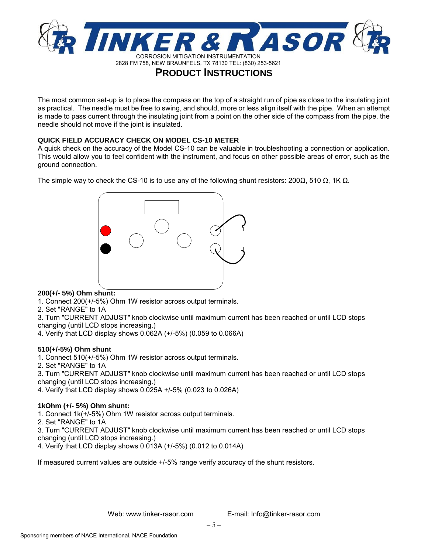

The most common set-up is to place the compass on the top of a straight run of pipe as close to the insulating joint as practical. The needle must be free to swing, and should, more or less align itself with the pipe. When an attempt is made to pass current through the insulating joint from a point on the other side of the compass from the pipe, the needle should not move if the joint is insulated.

### **QUICK FIELD ACCURACY CHECK ON MODEL CS-10 METER**

A quick check on the accuracy of the Model CS-10 can be valuable in troubleshooting a connection or application. This would allow you to feel confident with the instrument, and focus on other possible areas of error, such as the ground connection.

The simple way to check the CS-10 is to use any of the following shunt resistors: 200 $\Omega$ , 510  $\Omega$ , 1K  $\Omega$ .



### **200(+/- 5%) Ohm shunt:**

- 1. Connect 200(+/-5%) Ohm 1W resistor across output terminals.
- 2. Set "RANGE" to 1A
- 3. Turn "CURRENT ADJUST" knob clockwise until maximum current has been reached or until LCD stops changing (until LCD stops increasing.)
- 4. Verify that LCD display shows 0.062A (+/-5%) (0.059 to 0.066A)

### **510(+/-5%) Ohm shunt**

- 1. Connect 510(+/-5%) Ohm 1W resistor across output terminals.
- 2. Set "RANGE" to 1A
- 3. Turn "CURRENT ADJUST" knob clockwise until maximum current has been reached or until LCD stops changing (until LCD stops increasing.)
- 4. Verify that LCD display shows 0.025A +/-5% (0.023 to 0.026A)

### **1kOhm (+/- 5%) Ohm shunt:**

- 1. Connect 1k(+/-5%) Ohm 1W resistor across output terminals.
- 2. Set "RANGE" to 1A

3. Turn "CURRENT ADJUST" knob clockwise until maximum current has been reached or until LCD stops changing (until LCD stops increasing.)

4. Verify that LCD display shows 0.013A (+/-5%) (0.012 to 0.014A)

If measured current values are outside +/-5% range verify accuracy of the shunt resistors.

Web: www.tinker-rasor.com E-mail: Info@tinker-rasor.com